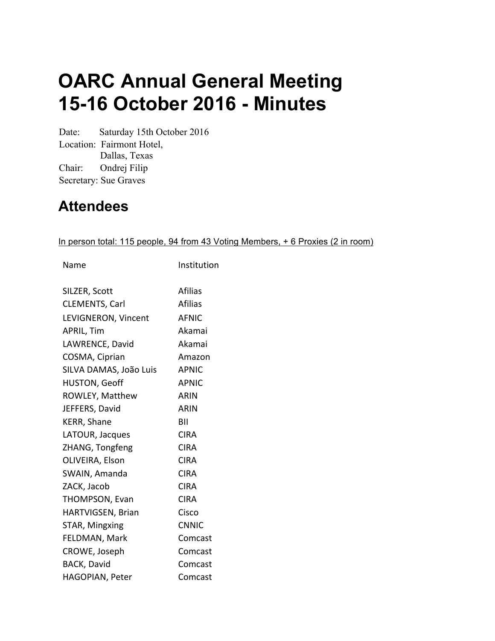## **OARC Annual General Meeting 15-16 October 2016 - Minutes**

Date: Saturday 15th October 2016 Location: Fairmont Hotel, Dallas, Texas Chair: Ondrej Filip Secretary: Sue Graves

## **Attendees**

|  |  |  | In person total: 115 people, 94 from 43 Voting Members, + 6 Proxies (2 in room) |  |
|--|--|--|---------------------------------------------------------------------------------|--|
|  |  |  |                                                                                 |  |

| Name                   | Institution    |  |  |
|------------------------|----------------|--|--|
|                        |                |  |  |
| SILZER, Scott          | <b>Afilias</b> |  |  |
| <b>CLEMENTS, Carl</b>  | <b>Afilias</b> |  |  |
| LEVIGNERON, Vincent    | <b>AFNIC</b>   |  |  |
| <b>APRIL, Tim</b>      | Akamai         |  |  |
| LAWRENCE, David        | Akamai         |  |  |
| COSMA, Ciprian         | Amazon         |  |  |
| SILVA DAMAS, João Luis | <b>APNIC</b>   |  |  |
| <b>HUSTON, Geoff</b>   | <b>APNIC</b>   |  |  |
| <b>ROWLEY, Matthew</b> | <b>ARIN</b>    |  |  |
| JEFFERS, David         | <b>ARIN</b>    |  |  |
| <b>KERR, Shane</b>     | BII            |  |  |
| LATOUR, Jacques        | <b>CIRA</b>    |  |  |
| ZHANG, Tongfeng        | <b>CIRA</b>    |  |  |
| OLIVEIRA, Elson        | <b>CIRA</b>    |  |  |
| SWAIN, Amanda          | <b>CIRA</b>    |  |  |
| ZACK, Jacob            | <b>CIRA</b>    |  |  |
| <b>THOMPSON, Evan</b>  | <b>CIRA</b>    |  |  |
| HARTVIGSEN, Brian      | Cisco          |  |  |
| <b>STAR, Mingxing</b>  | <b>CNNIC</b>   |  |  |
| FELDMAN, Mark          | Comcast        |  |  |
| CROWE, Joseph          | Comcast        |  |  |
| <b>BACK, David</b>     | Comcast        |  |  |
| HAGOPIAN, Peter        | Comcast        |  |  |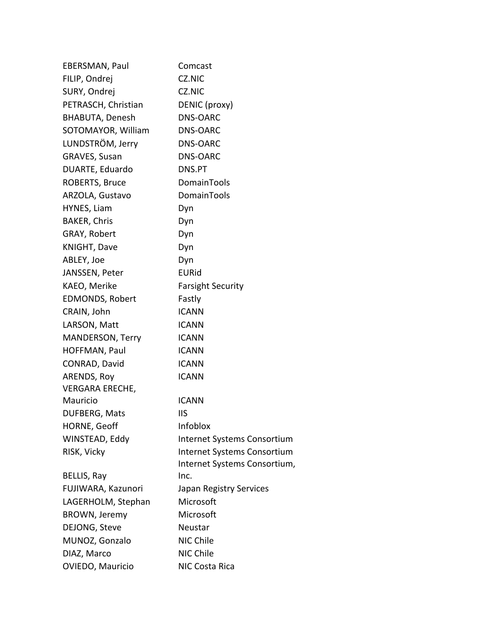| EBERSMAN, Paul          | Comcast                      |
|-------------------------|------------------------------|
| FILIP, Ondrej           | CZ.NIC                       |
| SURY, Ondrej            | CZ.NIC                       |
| PETRASCH, Christian     | DENIC (proxy)                |
| <b>BHABUTA, Denesh</b>  | <b>DNS-OARC</b>              |
| SOTOMAYOR, William      | <b>DNS-OARC</b>              |
| LUNDSTRÖM, Jerry        | <b>DNS-OARC</b>              |
| GRAVES, Susan           | <b>DNS-OARC</b>              |
| DUARTE, Eduardo         | DNS.PT                       |
| ROBERTS, Bruce          | DomainTools                  |
| ARZOLA, Gustavo         | DomainTools                  |
| HYNES, Liam             | Dyn                          |
| <b>BAKER, Chris</b>     | Dyn                          |
| GRAY, Robert            | Dyn                          |
| <b>KNIGHT, Dave</b>     | Dyn                          |
| ABLEY, Joe              | Dyn                          |
| JANSSEN, Peter          | <b>EURid</b>                 |
| KAEO, Merike            | <b>Farsight Security</b>     |
| <b>EDMONDS, Robert</b>  | Fastly                       |
| CRAIN, John             | <b>ICANN</b>                 |
| LARSON, Matt            | <b>ICANN</b>                 |
| <b>MANDERSON, Terry</b> | <b>ICANN</b>                 |
| HOFFMAN, Paul           | <b>ICANN</b>                 |
| CONRAD, David           | <b>ICANN</b>                 |
| ARENDS, Roy             | <b>ICANN</b>                 |
| <b>VERGARA ERECHE,</b>  |                              |
| Mauricio                | <b>ICANN</b>                 |
| DUFBERG, Mats           | <b>IIS</b>                   |
| HORNE, Geoff            | Infoblox                     |
| WINSTEAD, Eddy          | Internet Systems Consortium  |
| RISK, Vicky             | Internet Systems Consortium  |
|                         | Internet Systems Consortium, |
| <b>BELLIS, Ray</b>      | Inc.                         |
| FUJIWARA, Kazunori      | Japan Registry Services      |
| LAGERHOLM, Stephan      | Microsoft                    |
| BROWN, Jeremy           | Microsoft                    |
| DEJONG, Steve           | Neustar                      |
| MUNOZ, Gonzalo          | NIC Chile                    |
| DIAZ, Marco             | NIC Chile                    |
| OVIEDO, Mauricio        | <b>NIC Costa Rica</b>        |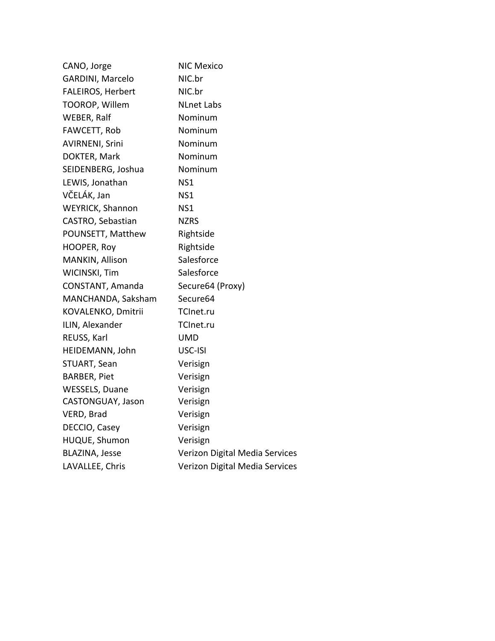| CANO, Jorge            | <b>NIC Mexico</b>              |
|------------------------|--------------------------------|
| GARDINI, Marcelo       | NIC.br                         |
| FALEIROS, Herbert      | NIC.br                         |
| TOOROP, Willem         | <b>NLnet Labs</b>              |
| WEBER, Ralf            | Nominum                        |
| FAWCETT, Rob           | Nominum                        |
| <b>AVIRNENI, Srini</b> | Nominum                        |
| DOKTER, Mark           | Nominum                        |
| SEIDENBERG, Joshua     | Nominum                        |
| LEWIS, Jonathan        | NS1                            |
| VČELÁK, Jan            | NS1                            |
| WEYRICK, Shannon       | NS <sub>1</sub>                |
| CASTRO, Sebastian      | <b>NZRS</b>                    |
| POUNSETT, Matthew      | Rightside                      |
| HOOPER, Roy            | Rightside                      |
| MANKIN, Allison        | Salesforce                     |
| WICINSKI, Tim          | Salesforce                     |
| CONSTANT, Amanda       | Secure64 (Proxy)               |
| MANCHANDA, Saksham     | Secure64                       |
| KOVALENKO, Dmitrii     | TCInet.ru                      |
| ILIN, Alexander        | TCInet.ru                      |
| REUSS, Karl            | <b>UMD</b>                     |
| HEIDEMANN, John        | USC-ISI                        |
| STUART, Sean           | Verisign                       |
| <b>BARBER, Piet</b>    | Verisign                       |
| <b>WESSELS, Duane</b>  | Verisign                       |
| CASTONGUAY, Jason      | Verisign                       |
| VERD, Brad             | Verisign                       |
| DECCIO, Casey          | Verisign                       |
| HUQUE, Shumon          | Verisign                       |
| <b>BLAZINA, Jesse</b>  | Verizon Digital Media Services |
| LAVALLEE, Chris        | Verizon Digital Media Services |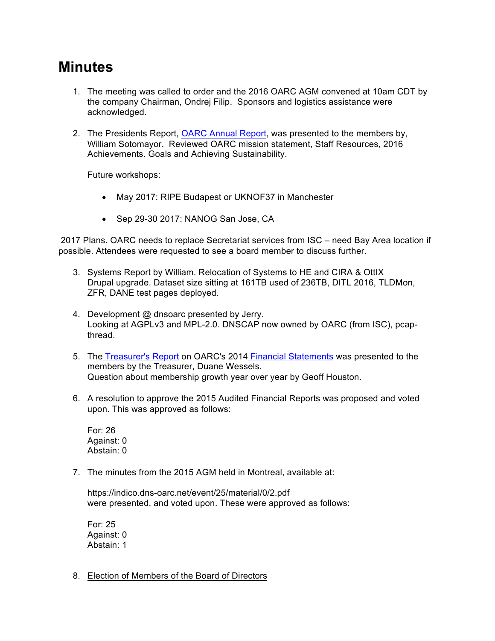## **Minutes**

- 1. The meeting was called to order and the 2016 OARC AGM convened at 10am CDT by the company Chairman, Ondrej Filip. Sponsors and logistics assistance were acknowledged.
- 2. The Presidents Report, OARC Annual Report, was presented to the members by, William Sotomayor. Reviewed OARC mission statement, Staff Resources, 2016 Achievements. Goals and Achieving Sustainability.

Future workshops:

- May 2017: RIPE Budapest or UKNOF37 in Manchester
- Sep 29-30 2017: NANOG San Jose, CA

2017 Plans. OARC needs to replace Secretariat services from ISC – need Bay Area location if possible. Attendees were requested to see a board member to discuss further.

- 3. Systems Report by William. Relocation of Systems to HE and CIRA & OttIX Drupal upgrade. Dataset size sitting at 161TB used of 236TB, DITL 2016, TLDMon, ZFR, DANE test pages deployed.
- 4. Development @ dnsoarc presented by Jerry. Looking at AGPLv3 and MPL-2.0. DNSCAP now owned by OARC (from ISC), pcapthread.
- 5. The Treasurer's Report on OARC's 2014 Financial Statements was presented to the members by the Treasurer, Duane Wessels. Question about membership growth year over year by Geoff Houston.
- 6. A resolution to approve the 2015 Audited Financial Reports was proposed and voted upon. This was approved as follows:

For: 26 Against: 0 Abstain: 0

7. The minutes from the 2015 AGM held in Montreal, available at:

https://indico.dns-oarc.net/event/25/material/0/2.pdf were presented, and voted upon. These were approved as follows:

For: 25 Against: 0 Abstain: 1

8. Election of Members of the Board of Directors